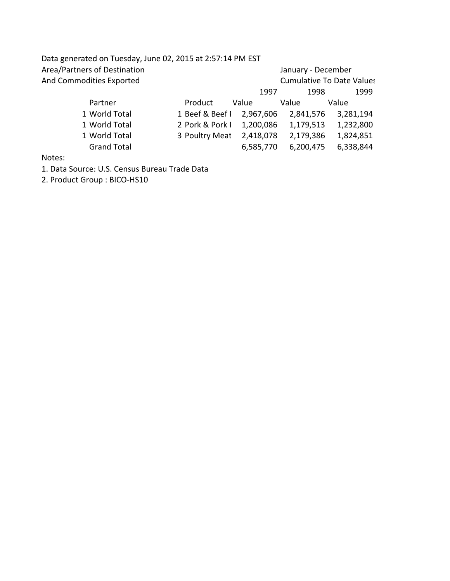| Data generated on Tuesday, June 02, 2015 at 2:57:14 PM EST |                 |           |                                  |           |  |
|------------------------------------------------------------|-----------------|-----------|----------------------------------|-----------|--|
| Area/Partners of Destination                               |                 |           | January - December               |           |  |
| And Commodities Exported                                   |                 |           | <b>Cumulative To Date Values</b> |           |  |
|                                                            |                 | 1997      | 1998                             | 1999      |  |
| Partner                                                    | Product         | Value     | Value                            | Value     |  |
| 1 World Total                                              | 1 Beef & Beef I | 2,967,606 | 2,841,576                        | 3,281,194 |  |
| 1 World Total                                              | 2 Pork & Pork I | 1,200,086 | 1,179,513                        | 1,232,800 |  |
| 1 World Total                                              | 3 Poultry Meat  | 2,418,078 | 2,179,386                        | 1,824,851 |  |
| <b>Grand Total</b>                                         |                 | 6,585,770 | 6,200,475                        | 6,338,844 |  |
|                                                            |                 |           |                                  |           |  |

Notes:

1. Data Source: U.S. Census Bureau Trade Data

2. Product Group : BICO-HS10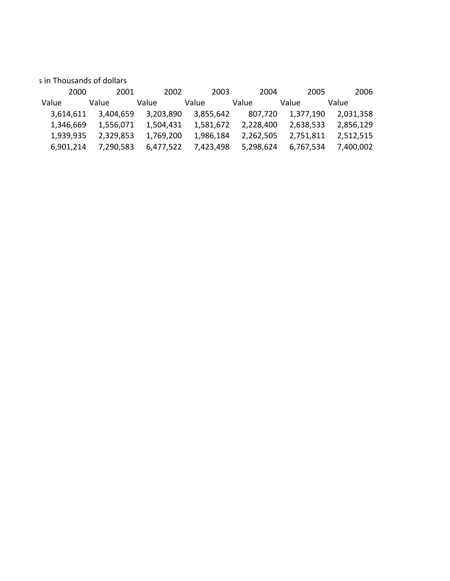s in Thousands of dollars

| 2000      | 2001      | 2002      | 2003      | 2004      | 2005      | 2006      |
|-----------|-----------|-----------|-----------|-----------|-----------|-----------|
| Value     | Value     | Value     | Value     | Value     | Value     | Value     |
| 3.614.611 | 3,404,659 | 3,203,890 | 3,855,642 | 807,720   | 1,377,190 | 2,031,358 |
| 1,346,669 | 1,556,071 | 1,504,431 | 1,581,672 | 2,228,400 | 2,638,533 | 2,856,129 |
| 1,939,935 | 2,329,853 | 1,769,200 | 1,986,184 | 2,262,505 | 2,751,811 | 2,512,515 |
| 6.901.214 | 7,290,583 | 6.477.522 | 7.423.498 | 5,298,624 | 6,767,534 | 7,400,002 |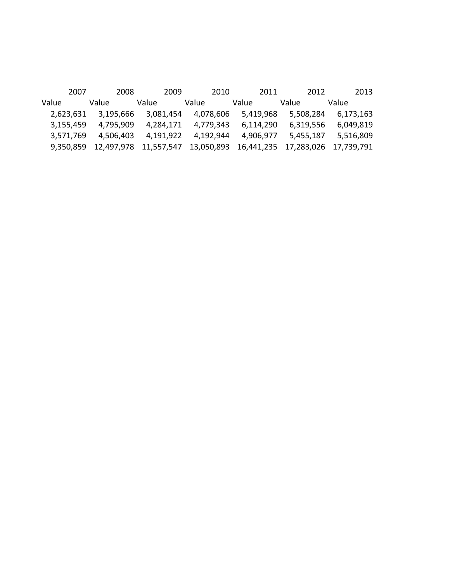|           | 2007 |            | 2008 |           | 2009 |                       | 2010      |            | 2011      |       | 2012       |            | 2013      |
|-----------|------|------------|------|-----------|------|-----------------------|-----------|------------|-----------|-------|------------|------------|-----------|
| Value     |      | Value      |      | Value     |      | Value                 |           | Value      |           | Value |            | Value      |           |
| 2,623,631 |      | 3,195,666  |      | 3,081,454 |      |                       | 4,078,606 |            | 5,419,968 |       | 5,508,284  |            | 6,173,163 |
| 3,155,459 |      | 4,795,909  |      | 4.284.171 |      |                       | 4.779.343 |            | 6,114,290 |       | 6,319,556  |            | 6,049,819 |
| 3,571,769 |      | 4.506.403  |      | 4,191,922 |      |                       | 4,192,944 |            | 4,906,977 |       | 5,455,187  |            | 5,516,809 |
| 9.350.859 |      | 12.497.978 |      |           |      | 11,557,547 13,050,893 |           | 16,441,235 |           |       | 17,283,026 | 17.739.791 |           |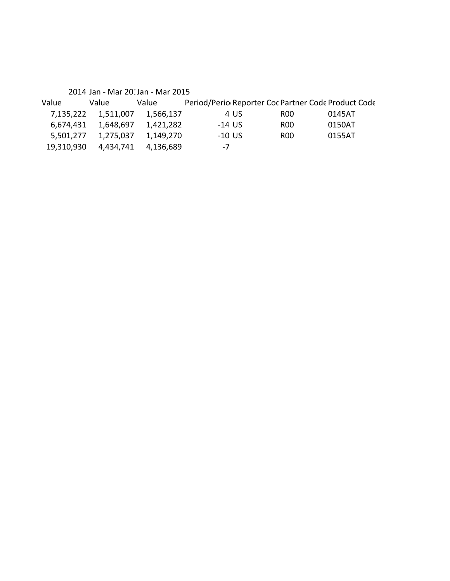|            | 2014 Jan - Mar 201 Jan - Mar 2015 |           |                                                     |      |        |
|------------|-----------------------------------|-----------|-----------------------------------------------------|------|--------|
| Value      | Value                             | Value     | Period/Perio Reporter Coc Partner Code Product Code |      |        |
| 7,135,222  | 1,511,007                         | 1,566,137 | 4 US                                                | R00  | 0145AT |
| 6,674,431  | 1,648,697                         | 1,421,282 | $-14$ US                                            | ROO. | 0150AT |
| 5,501,277  | 1,275,037                         | 1,149,270 | $-10$ US                                            | ROO. | 0155AT |
| 19,310,930 | 4.434.741                         | 4,136,689 | $-7$                                                |      |        |